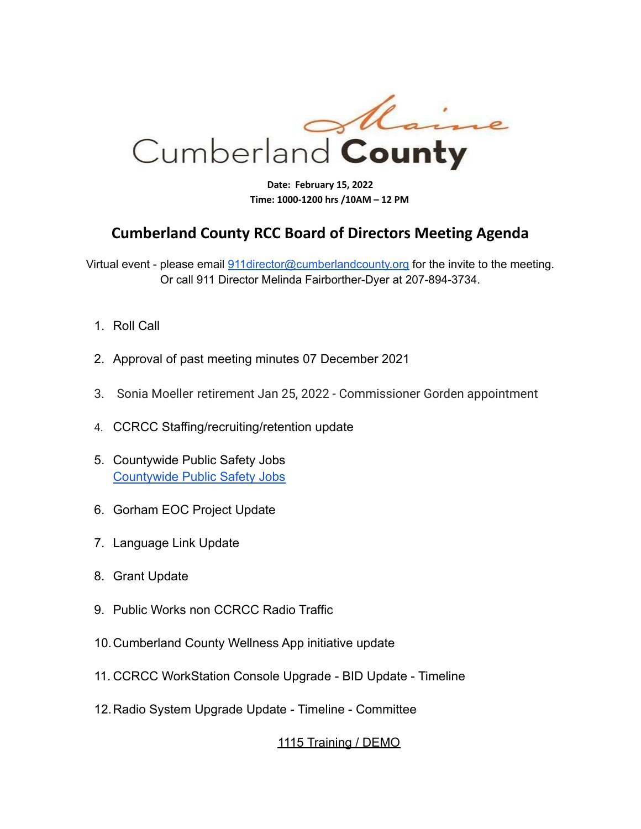

**Date: February 15, 2022 Time: 1000-1200 hrs /10AM – 12 PM**

## **Cumberland County RCC Board of Directors Meeting Agenda**

Virtual event - please email 911 director@cumberlandcounty.org for the invite to the meeting. Or call 911 Director Melinda Fairborther-Dyer at 207-894-3734.

- 1. Roll Call
- 2. Approval of past meeting minutes 07 December 2021
- 3. [Sonia Moeller](mailto:smoeller@brunswickpd.org) retirement Jan 25, 2022 Commissioner Gorden appointment
- 4. CCRCC Staffing/recruiting/retention update
- 5. Countywide Public Safety Jobs [Countywide Public Safety Jobs](https://www.cumberlandcounty.org/804/Countywide-Public-Safety-Jobs)
- 6. Gorham EOC Project Update
- 7. Language Link Update
- 8. Grant Update
- 9. Public Works non CCRCC Radio Traffic
- 10.Cumberland County Wellness App initiative update
- 11. CCRCC WorkStation Console Upgrade BID Update Timeline
- 12.Radio System Upgrade Update Timeline Committee

## 1115 Training / DEMO